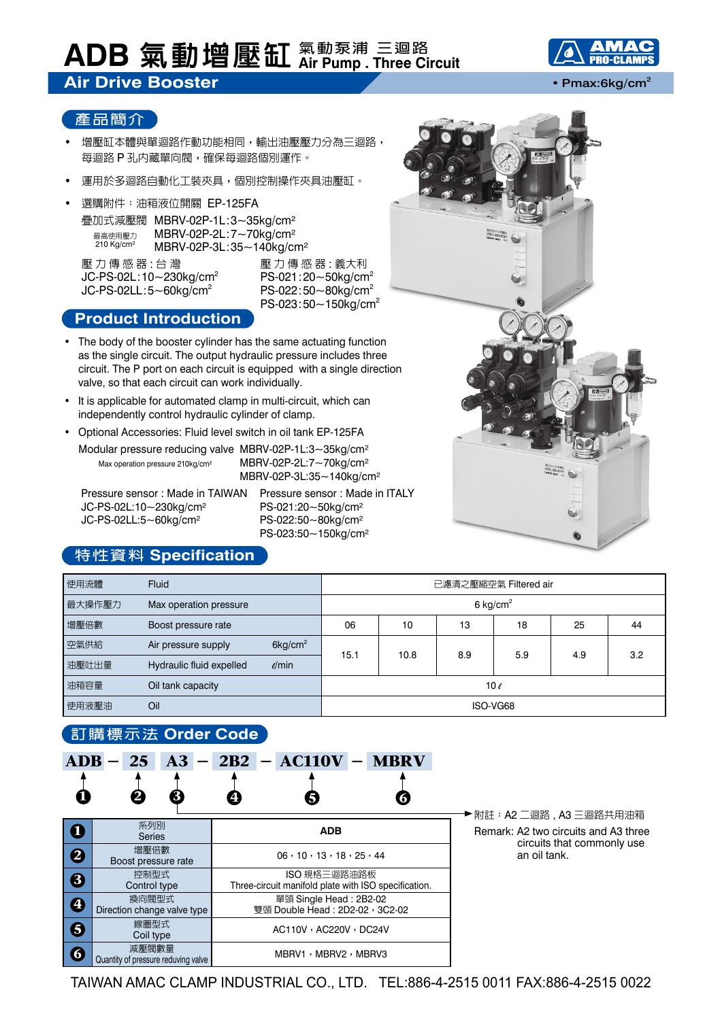## **ADB 氣動增壓缸 氣動泵浦 三迴路 Air Pump . Three Circuit**

# **Air Drive Booster • Pmax:6kg/cm<sup>2</sup> • Pmax:6kg/cm<sup>2</sup>**



### **產品簡介**

- 增壓缸本體與單迴路作動功能相同,輸出油壓壓力分為三迴路, 每迴路 P 孔內藏單向閥,確保每迴路個別運作。
- 運用於多迴路自動化工裝夾具,個別控制操作夾具油壓缸。
- 選購附件: 油箱液位開關 EP-125FA 疊加式減壓閥 MBRV-02P-1L:3~35kg/cm² MBRV-02P-2L:7~70kg/cm² MBRV-02P-3L:35~140kg/cm² 最高使用壓力 210 Kg/cm<sup>2</sup>

壓力傳感器 : 台 灣 壓力傳感器 : 義大利  $JC-PS-02L:10~230kg/cm<sup>2</sup>$  PS-021:20~50kg/cm<sup>2</sup>  $JC-PS-02LL:5~60kg/cm<sup>2</sup>$  PS-022:50~80kg/cm<sup>2</sup>

PS-023:50~150kg/cm<sup>2</sup>

### **Product Introduction**

- The body of the booster cylinder has the same actuating function as the single circuit. The output hydraulic pressure includes three circuit. The P port on each circuit is equipped with a single direction valve, so that each circuit can work individually.
- It is applicable for automated clamp in multi-circuit, which can independently control hydraulic cylinder of clamp.
- Optional Accessories: Fluid level switch in oil tank EP-125FA Modular pressure reducing valve MBRV-02P-1L:3~35kg/cm² MBRV-02P-2L:7~70kg/cm² MBRV-02P-3L:35~140kg/cm² Max operation pressure 210kg/cm²

JC-PS-02L:10~230kg/cm² PS-021:20~50kg/cm² JC-PS-02LL:5~60kg/cm² PS-022:50~80kg/cm²

Pressure sensor : Made in TAIWAN Pressure sensor : Made in ITALY PS-023:50~150kg/cm²

# **特性資料 Specification**

| 使用流體   | <b>Fluid</b>                                  | 已濾清之壓縮空氣 Filtered air |      |     |     |     |     |
|--------|-----------------------------------------------|-----------------------|------|-----|-----|-----|-----|
| 最大操作壓力 | Max operation pressure                        | 6 kg/cm <sup>2</sup>  |      |     |     |     |     |
| 增壓倍數   | Boost pressure rate                           | 06                    | 10   | 13  | 18  | 25  | 44  |
| 空氣供給   | $6$ kg/cm <sup>2</sup><br>Air pressure supply | 15.1                  |      | 8.9 | 5.9 |     | 3.2 |
| 油壓吐出量  | $\ell$ /min<br>Hydraulic fluid expelled       |                       | 10.8 |     |     | 4.9 |     |
| 油箱容量   | Oil tank capacity                             | 10 $\ell$             |      |     |     |     |     |
| 使用液壓油  | Oil                                           | ISO-VG68              |      |     |     |     |     |

## **訂購標示法 Order Code**

| <b>BUSHIS UNA UNIVERSITY</b> |                                              |                                                                      |                                                                 |  |  |  |  |
|------------------------------|----------------------------------------------|----------------------------------------------------------------------|-----------------------------------------------------------------|--|--|--|--|
| û                            | 25<br>$ADB -$<br>3                           | $A3 - 2B2 - AC110V -$<br><b>MBRV</b>                                 |                                                                 |  |  |  |  |
| $\mathbf 0$                  | 系列別<br><b>Series</b>                         | <b>ADB</b>                                                           | ▶附註:A2 二迴路 , A3 三迴路共用油箱<br>Remark: A2 two circuits and A3 three |  |  |  |  |
| 2                            | 增壓倍數<br>Boost pressure rate                  | 06, 10, 13, 18, 25, 44                                               | circuits that commonly use<br>an oil tank.                      |  |  |  |  |
| $\bigcirc$                   | 控制型式<br>Control type                         | ISO 規格三迴路油路板<br>Three-circuit manifold plate with ISO specification. |                                                                 |  |  |  |  |
| $\boldsymbol{\Theta}$        | 換向閥型式<br>Direction change valve type         | 單頭 Single Head: 2B2-02<br>雙頭 Double Head: 2D2-02, 3C2-02             |                                                                 |  |  |  |  |
| $\boldsymbol{\Theta}$        | 線圏型式<br>Coil type                            | AC110V · AC220V · DC24V                                              |                                                                 |  |  |  |  |
| 6                            | 減壓閥數量<br>Quantity of pressure reduving valve | MBRV1, MBRV2, MBRV3                                                  |                                                                 |  |  |  |  |



TAIWAN AMAC CLAMP INDUSTRIAL CO., LTD. TEL:886-4-2515 0011 FAX:886-4-2515 0022